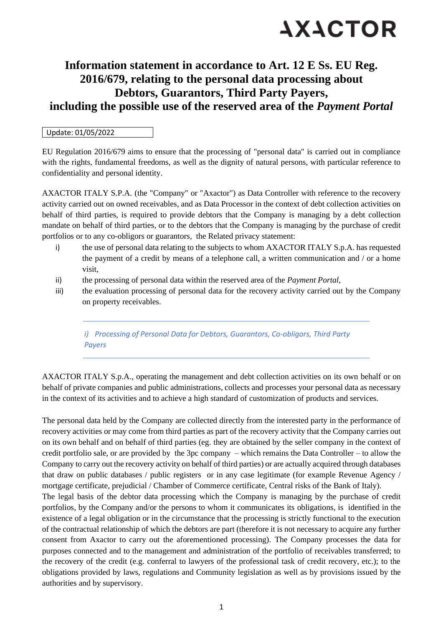

### **Information statement in accordance to Art. 12 E Ss. EU Reg. 2016/679, relating to the personal data processing about Debtors, Guarantors, Third Party Payers, including the possible use of the reserved area of the** *Payment Portal*

#### Update: 01/05/2022

EU Regulation 2016/679 aims to ensure that the processing of "personal data" is carried out in compliance with the rights, fundamental freedoms, as well as the dignity of natural persons, with particular reference to confidentiality and personal identity.

AXACTOR ITALY S.P.A. (the "Company" or "Axactor") as Data Controller with reference to the recovery activity carried out on owned receivables, and as Data Processor in the context of debt collection activities on behalf of third parties, is required to provide debtors that the Company is managing by a debt collection mandate on behalf of third parties, or to the debtors that the Company is managing by the purchase of credit portfolios or to any co-obligors or guarantors, the Related privacy statement:

- i) the use of personal data relating to the subjects to whom AXACTOR ITALY S.p.A. has requested the payment of a credit by means of a telephone call, a written communication and / or a home visit,
- ii) the processing of personal data within the reserved area of the *Payment Portal*,
- iii) the evaluation processing of personal data for the recovery activity carried out by the Company on property receivables.

*i) Processing of Personal Data for Debtors, Guarantors, Co-obligors, Third Party Payers*

AXACTOR ITALY S.p.A., operating the management and debt collection activities on its own behalf or on behalf of private companies and public administrations, collects and processes your personal data as necessary in the context of its activities and to achieve a high standard of customization of products and services.

The personal data held by the Company are collected directly from the interested party in the performance of recovery activities or may come from third parties as part of the recovery activity that the Company carries out on its own behalf and on behalf of third parties (eg. they are obtained by the seller company in the context of credit portfolio sale, or are provided by the 3pc company – which remains the Data Controller – to allow the Company to carry out the recovery activity on behalf of third parties) or are actually acquired through databases that draw on public databases / public registers or in any case legitimate (for example Revenue Agency / mortgage certificate, prejudicial / Chamber of Commerce certificate, Central risks of the Bank of Italy). The legal basis of the debtor data processing which the Company is managing by the purchase of credit portfolios, by the Company and/or the persons to whom it communicates its obligations, is identified in the existence of a legal obligation or in the circumstance that the processing is strictly functional to the execution of the contractual relationship of which the debtors are part (therefore it is not necessary to acquire any further consent from Axactor to carry out the aforementioned processing). The Company processes the data for purposes connected and to the management and administration of the portfolio of receivables transferred; to the recovery of the credit (e.g. conferral to lawyers of the professional task of credit recovery, etc.); to the obligations provided by laws, regulations and Community legislation as well as by provisions issued by the authorities and by supervisory.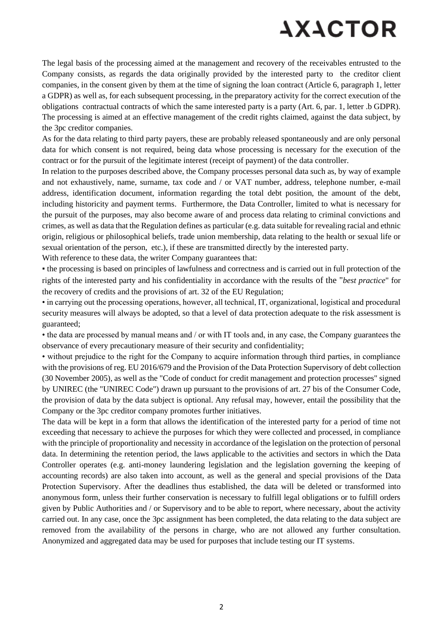# **AXACTOR**

The legal basis of the processing aimed at the management and recovery of the receivables entrusted to the Company consists, as regards the data originally provided by the interested party to the creditor client companies, in the consent given by them at the time of signing the loan contract (Article 6, paragraph 1, letter a GDPR) as well as, for each subsequent processing, in the preparatory activity for the correct execution of the obligations contractual contracts of which the same interested party is a party (Art. 6, par. 1, letter .b GDPR). The processing is aimed at an effective management of the credit rights claimed, against the data subject, by the 3pc creditor companies.

As for the data relating to third party payers, these are probably released spontaneously and are only personal data for which consent is not required, being data whose processing is necessary for the execution of the contract or for the pursuit of the legitimate interest (receipt of payment) of the data controller.

In relation to the purposes described above, the Company processes personal data such as, by way of example and not exhaustively, name, surname, tax code and / or VAT number, address, telephone number, e-mail address, identification document, information regarding the total debt position, the amount of the debt, including historicity and payment terms. Furthermore, the Data Controller, limited to what is necessary for the pursuit of the purposes, may also become aware of and process data relating to criminal convictions and crimes, as well as data that the Regulation defines as particular (e.g. data suitable for revealing racial and ethnic origin, religious or philosophical beliefs, trade union membership, data relating to the health or sexual life or sexual orientation of the person, etc.), if these are transmitted directly by the interested party.

With reference to these data, the writer Company guarantees that:

▪ the processing is based on principles of lawfulness and correctness and is carried out in full protection of the rights of the interested party and his confidentiality in accordance with the results of the "*best practice*" for the recovery of credits and the provisions of art. 32 of the EU Regulation;

• in carrying out the processing operations, however, all technical, IT, organizational, logistical and procedural security measures will always be adopted, so that a level of data protection adequate to the risk assessment is guaranteed;

• the data are processed by manual means and / or with IT tools and, in any case, the Company guarantees the observance of every precautionary measure of their security and confidentiality;

• without prejudice to the right for the Company to acquire information through third parties, in compliance with the provisions of reg. EU 2016/679 and the Provision of the Data Protection Supervisory of debt collection (30 November 2005), as well as the "Code of conduct for credit management and protection processes" signed by UNIREC (the "UNIREC Code") drawn up pursuant to the provisions of art. 27 bis of the Consumer Code, the provision of data by the data subject is optional. Any refusal may, however, entail the possibility that the Company or the 3pc creditor company promotes further initiatives.

The data will be kept in a form that allows the identification of the interested party for a period of time not exceeding that necessary to achieve the purposes for which they were collected and processed, in compliance with the principle of proportionality and necessity in accordance of the legislation on the protection of personal data. In determining the retention period, the laws applicable to the activities and sectors in which the Data Controller operates (e.g. anti-money laundering legislation and the legislation governing the keeping of accounting records) are also taken into account, as well as the general and special provisions of the Data Protection Supervisory. After the deadlines thus established, the data will be deleted or transformed into anonymous form, unless their further conservation is necessary to fulfill legal obligations or to fulfill orders given by Public Authorities and / or Supervisory and to be able to report, where necessary, about the activity carried out. In any case, once the 3pc assignment has been completed, the data relating to the data subject are removed from the availability of the persons in charge, who are not allowed any further consultation. Anonymized and aggregated data may be used for purposes that include testing our IT systems.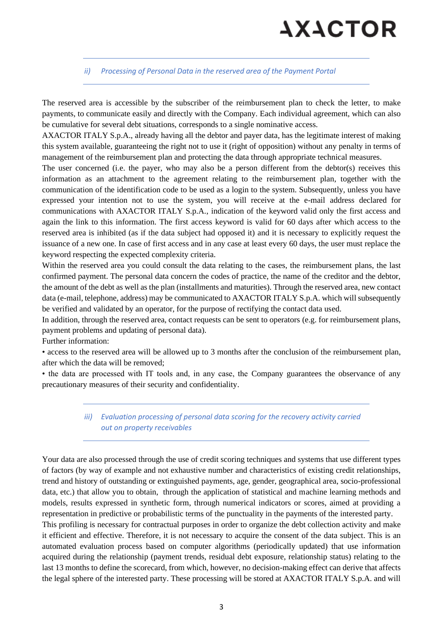# **AXACTOR**

### *ii) Processing of Personal Data in the reserved area of the Payment Portal*

The reserved area is accessible by the subscriber of the reimbursement plan to check the letter, to make payments, to communicate easily and directly with the Company. Each individual agreement, which can also be cumulative for several debt situations, corresponds to a single nominative access.

AXACTOR ITALY S.p.A., already having all the debtor and payer data, has the legitimate interest of making this system available, guaranteeing the right not to use it (right of opposition) without any penalty in terms of management of the reimbursement plan and protecting the data through appropriate technical measures.

The user concerned (i.e. the payer, who may also be a person different from the debtor(s) receives this information as an attachment to the agreement relating to the reimbursement plan, together with the communication of the identification code to be used as a login to the system. Subsequently, unless you have expressed your intention not to use the system, you will receive at the e-mail address declared for communications with AXACTOR ITALY S.p.A., indication of the keyword valid only the first access and again the link to this information. The first access keyword is valid for 60 days after which access to the reserved area is inhibited (as if the data subject had opposed it) and it is necessary to explicitly request the issuance of a new one. In case of first access and in any case at least every 60 days, the user must replace the keyword respecting the expected complexity criteria.

Within the reserved area you could consult the data relating to the cases, the reimbursement plans, the last confirmed payment. The personal data concern the codes of practice, the name of the creditor and the debtor, the amount of the debt as well as the plan (installments and maturities). Through the reserved area, new contact data (e-mail, telephone, address) may be communicated to AXACTOR ITALY S.p.A. which will subsequently be verified and validated by an operator, for the purpose of rectifying the contact data used.

In addition, through the reserved area, contact requests can be sent to operators (e.g. for reimbursement plans, payment problems and updating of personal data).

Further information:

• access to the reserved area will be allowed up to 3 months after the conclusion of the reimbursement plan, after which the data will be removed;

• the data are processed with IT tools and, in any case, the Company guarantees the observance of any precautionary measures of their security and confidentiality.

### *iii) Evaluation processing of personal data scoring for the recovery activity carried out on property receivables*

Your data are also processed through the use of credit scoring techniques and systems that use different types of factors (by way of example and not exhaustive number and characteristics of existing credit relationships, trend and history of outstanding or extinguished payments, age, gender, geographical area, socio-professional data, etc.) that allow you to obtain, through the application of statistical and machine learning methods and models, results expressed in synthetic form, through numerical indicators or scores, aimed at providing a representation in predictive or probabilistic terms of the punctuality in the payments of the interested party. This profiling is necessary for contractual purposes in order to organize the debt collection activity and make it efficient and effective. Therefore, it is not necessary to acquire the consent of the data subject. This is an automated evaluation process based on computer algorithms (periodically updated) that use information acquired during the relationship (payment trends, residual debt exposure, relationship status) relating to the last 13 months to define the scorecard, from which, however, no decision-making effect can derive that affects the legal sphere of the interested party. These processing will be stored at AXACTOR ITALY S.p.A. and will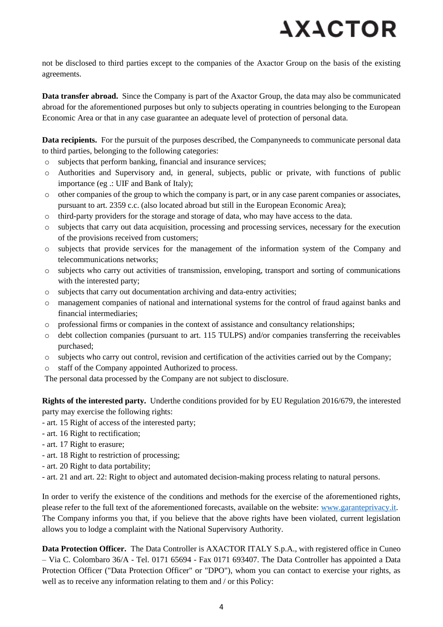# **AXACTOR**

not be disclosed to third parties except to the companies of the Axactor Group on the basis of the existing agreements.

**Data transfer abroad.** Since the Company is part of the Axactor Group, the data may also be communicated abroad for the aforementioned purposes but only to subjects operating in countries belonging to the European Economic Area or that in any case guarantee an adequate level of protection of personal data.

**Data recipients.** For the pursuit of the purposes described, the Companyneeds to communicate personal data to third parties, belonging to the following categories:

- o subjects that perform banking, financial and insurance services;
- o Authorities and Supervisory and, in general, subjects, public or private, with functions of public importance (eg .: UIF and Bank of Italy);
- o other companies of the group to which the company is part, or in any case parent companies or associates, pursuant to art. 2359 c.c. (also located abroad but still in the European Economic Area);
- o third-party providers for the storage and storage of data, who may have access to the data.
- o subjects that carry out data acquisition, processing and processing services, necessary for the execution of the provisions received from customers;
- o subjects that provide services for the management of the information system of the Company and telecommunications networks;
- o subjects who carry out activities of transmission, enveloping, transport and sorting of communications with the interested party;
- o subjects that carry out documentation archiving and data-entry activities;
- o management companies of national and international systems for the control of fraud against banks and financial intermediaries;
- o professional firms or companies in the context of assistance and consultancy relationships;
- o debt collection companies (pursuant to art. 115 TULPS) and/or companies transferring the receivables purchased;
- o subjects who carry out control, revision and certification of the activities carried out by the Company;
- o staff of the Company appointed Authorized to process.

The personal data processed by the Company are not subject to disclosure.

**Rights of the interested party.** Underthe conditions provided for by EU Regulation 2016/679, the interested party may exercise the following rights:

- art. 15 Right of access of the interested party;
- art. 16 Right to rectification;
- art. 17 Right to erasure;
- art. 18 Right to restriction of processing;
- art. 20 Right to data portability;
- art. 21 and art. 22: Right to object and automated decision-making process relating to natural persons.

In order to verify the existence of the conditions and methods for the exercise of the aforementioned rights, please refer to the full text of the aforementioned forecasts, available on the website: [www.garanteprivacy.it.](http://www.garanteprivacy.it/) The Company informs you that, if you believe that the above rights have been violated, current legislation allows you to lodge a complaint with the National Supervisory Authority.

**Data Protection Officer.** The Data Controller is AXACTOR ITALY S.p.A., with registered office in Cuneo – Via C. Colombaro 36/A - Tel. 0171 65694 - Fax 0171 693407. The Data Controller has appointed a Data Protection Officer ("Data Protection Officer" or "DPO"), whom you can contact to exercise your rights, as well as to receive any information relating to them and / or this Policy: